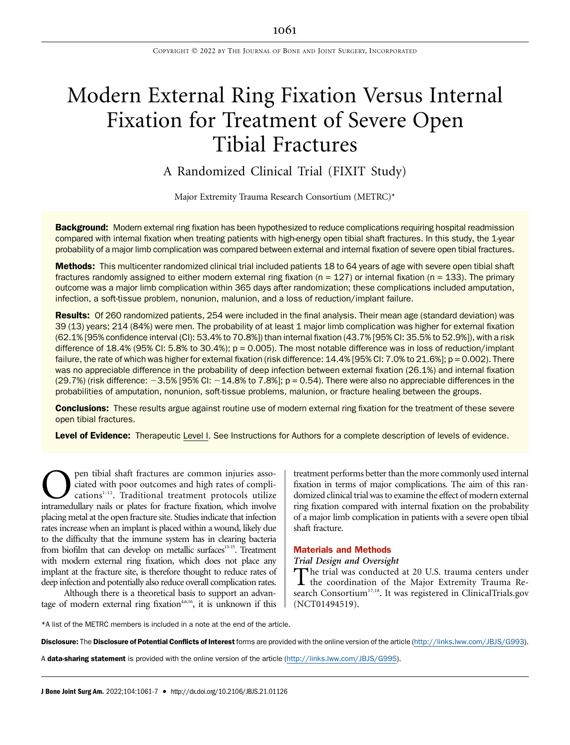# Modern External Ring Fixation Versus Internal Fixation for Treatment of Severe Open Tibial Fractures

# A Randomized Clinical Trial (FIXIT Study)

Major Extremity Trauma Research Consortium (METRC)\*

Background: Modern external ring fixation has been hypothesized to reduce complications requiring hospital readmission compared with internal fixation when treating patients with high-energy open tibial shaft fractures. In this study, the 1-year probability of a major limb complication was compared between external and internal fixation of severe open tibial fractures.

Methods: This multicenter randomized clinical trial included patients 18 to 64 years of age with severe open tibial shaft fractures randomly assigned to either modern external ring fixation ( $n = 127$ ) or internal fixation ( $n = 133$ ). The primary outcome was a major limb complication within 365 days after randomization; these complications included amputation, infection, a soft-tissue problem, nonunion, malunion, and a loss of reduction/implant failure.

Results: Of 260 randomized patients, 254 were included in the final analysis. Their mean age (standard deviation) was 39 (13) years; 214 (84%) were men. The probability of at least 1 major limb complication was higher for external fixation (62.1% [95% confidence interval (CI): 53.4% to 70.8%]) than internal fixation (43.7% [95% CI: 35.5% to 52.9%]), with a risk difference of 18.4% (95% CI: 5.8% to 30.4%);  $p = 0.005$ ). The most notable difference was in loss of reduction/implant failure, the rate of which was higher for external fixation (risk difference: 14.4% [95% CI: 7.0% to 21.6%]; p = 0.002). There was no appreciable difference in the probability of deep infection between external fixation (26.1%) and internal fixation  $(29.7%)$  (risk difference:  $-3.5%$  [95% CI:  $-14.8%$  to 7.8%]; p = 0.54). There were also no appreciable differences in the probabilities of amputation, nonunion, soft-tissue problems, malunion, or fracture healing between the groups.

**Conclusions:** These results argue against routine use of modern external ring fixation for the treatment of these severe open tibial fractures.

Level of Evidence: Therapeutic Level I. See Instructions for Authors for a complete description of levels of evidence.

 $\sum$  pen tibial shaft fractures are common injuries associated with poor outcomes and high rates of complications<sup>1-12</sup>. Traditional treatment protocols utilize intramedullary nails or plates for fracture fixation, which ciated with poor outcomes and high rates of complications<sup>1-12</sup>. Traditional treatment protocols utilize intramedullary nails or plates for fracture fixation, which involve placing metal at the open fracture site. Studies indicate that infection rates increase when an implant is placed within a wound, likely due to the difficulty that the immune system has in clearing bacteria from biofilm that can develop on metallic surfaces<sup>13-15</sup>. Treatment with modern external ring fixation, which does not place any implant at the fracture site, is therefore thought to reduce rates of deep infection and potentially also reduce overall complication rates.

Although there is a theoretical basis to support an advantage of modern external ring fixation<sup>4,6,16</sup>, it is unknown if this treatment performs better than the more commonly used internal fixation in terms of major complications. The aim of this randomized clinical trial was to examine the effect of modern external ring fixation compared with internal fixation on the probability of a major limb complication in patients with a severe open tibial shaft fracture.

# Materials and Methods

Trial Design and Oversight

The trial was conducted at 20 U.S. trauma centers under<br>the coordination of the Major Extremity Trauma Research Consortium<sup>17,18</sup>. It was registered in ClinicalTrials.gov (NCT01494519).

\*A list of the METRC members is included in a note at the end of the article.

Disclosure: The Disclosure of Potential Conflicts of Interest forms are provided with the online version of the article ([http://links.lww.com/JBJS/G993\)](http://links.lww.com/JBJS/G993).

A data-sharing statement is provided with the online version of the article [\(http://links.lww.com/JBJS/G995\)](http://links.lww.com/JBJS/G995).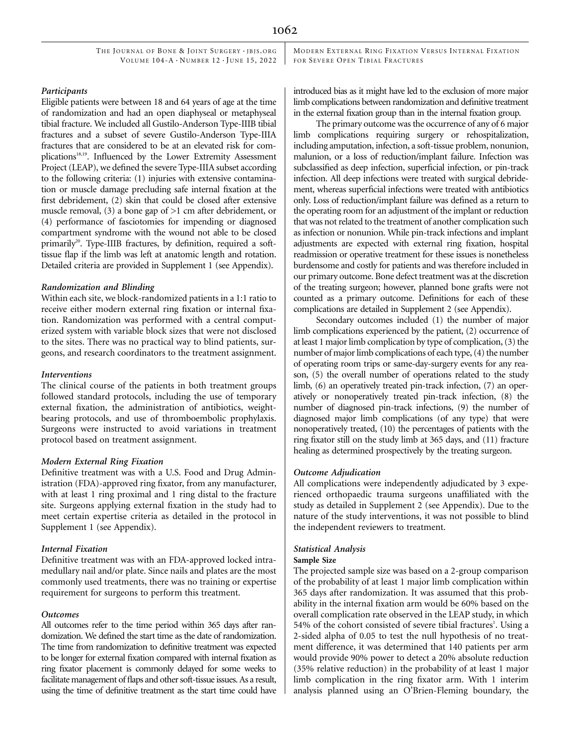THE JOURNAL OF BONE & JOINT SURGERY · JBJS.ORG VOLUME  $104-A \cdot N$ UMBER  $12 \cdot$  JUNE 15, 2022 MODERN EXTERNAL RING FIXATION VERSUS INTERNAL FIXATION FOR SEVERE OPEN TIBIAL FRACTURES

#### Participants

Eligible patients were between 18 and 64 years of age at the time of randomization and had an open diaphyseal or metaphyseal tibial fracture. We included all Gustilo-Anderson Type-IIIB tibial fractures and a subset of severe Gustilo-Anderson Type-IIIA fractures that are considered to be at an elevated risk for complications<sup>18,19</sup>. Influenced by the Lower Extremity Assessment Project (LEAP), we defined the severe Type-IIIA subset according to the following criteria: (1) injuries with extensive contamination or muscle damage precluding safe internal fixation at the first debridement, (2) skin that could be closed after extensive muscle removal, (3) a bone gap of >1 cm after debridement, or (4) performance of fasciotomies for impending or diagnosed compartment syndrome with the wound not able to be closed primarily<sup>20</sup>. Type-IIIB fractures, by definition, required a softtissue flap if the limb was left at anatomic length and rotation. Detailed criteria are provided in Supplement 1 (see Appendix).

#### Randomization and Blinding

Within each site, we block-randomized patients in a 1:1 ratio to receive either modern external ring fixation or internal fixation. Randomization was performed with a central computerized system with variable block sizes that were not disclosed to the sites. There was no practical way to blind patients, surgeons, and research coordinators to the treatment assignment.

#### Interventions

The clinical course of the patients in both treatment groups followed standard protocols, including the use of temporary external fixation, the administration of antibiotics, weightbearing protocols, and use of thromboembolic prophylaxis. Surgeons were instructed to avoid variations in treatment protocol based on treatment assignment.

#### Modern External Ring Fixation

Definitive treatment was with a U.S. Food and Drug Administration (FDA)-approved ring fixator, from any manufacturer, with at least 1 ring proximal and 1 ring distal to the fracture site. Surgeons applying external fixation in the study had to meet certain expertise criteria as detailed in the protocol in Supplement 1 (see Appendix).

# Internal Fixation

Definitive treatment was with an FDA-approved locked intramedullary nail and/or plate. Since nails and plates are the most commonly used treatments, there was no training or expertise requirement for surgeons to perform this treatment.

#### Outcomes

All outcomes refer to the time period within 365 days after randomization. We defined the start time as the date of randomization. The time from randomization to definitive treatment was expected to be longer for external fixation compared with internal fixation as ring fixator placement is commonly delayed for some weeks to facilitate management of flaps and other soft-tissue issues. As a result, using the time of definitive treatment as the start time could have introduced bias as it might have led to the exclusion of more major limb complications between randomization and definitive treatment in the external fixation group than in the internal fixation group.

The primary outcome was the occurrence of any of 6 major limb complications requiring surgery or rehospitalization, including amputation, infection, a soft-tissue problem, nonunion, malunion, or a loss of reduction/implant failure. Infection was subclassified as deep infection, superficial infection, or pin-track infection. All deep infections were treated with surgical debridement, whereas superficial infections were treated with antibiotics only. Loss of reduction/implant failure was defined as a return to the operating room for an adjustment of the implant or reduction that was not related to the treatment of another complication such as infection or nonunion. While pin-track infections and implant adjustments are expected with external ring fixation, hospital readmission or operative treatment for these issues is nonetheless burdensome and costly for patients and was therefore included in our primary outcome. Bone defect treatment was at the discretion of the treating surgeon; however, planned bone grafts were not counted as a primary outcome. Definitions for each of these complications are detailed in Supplement 2 (see Appendix).

Secondary outcomes included (1) the number of major limb complications experienced by the patient, (2) occurrence of at least 1 major limb complication by type of complication, (3) the number of major limb complications of each type, (4) the number of operating room trips or same-day-surgery events for any reason, (5) the overall number of operations related to the study limb, (6) an operatively treated pin-track infection, (7) an operatively or nonoperatively treated pin-track infection, (8) the number of diagnosed pin-track infections, (9) the number of diagnosed major limb complications (of any type) that were nonoperatively treated, (10) the percentages of patients with the ring fixator still on the study limb at 365 days, and (11) fracture healing as determined prospectively by the treating surgeon.

#### Outcome Adjudication

All complications were independently adjudicated by 3 experienced orthopaedic trauma surgeons unaffiliated with the study as detailed in Supplement 2 (see Appendix). Due to the nature of the study interventions, it was not possible to blind the independent reviewers to treatment.

# Statistical Analysis

#### Sample Size

The projected sample size was based on a 2-group comparison of the probability of at least 1 major limb complication within 365 days after randomization. It was assumed that this probability in the internal fixation arm would be 60% based on the overall complication rate observed in the LEAP study, in which 54% of the cohort consisted of severe tibial fractures<sup>1</sup>. Using a 2-sided alpha of 0.05 to test the null hypothesis of no treatment difference, it was determined that 140 patients per arm would provide 90% power to detect a 20% absolute reduction (35% relative reduction) in the probability of at least 1 major limb complication in the ring fixator arm. With 1 interim analysis planned using an O'Brien-Fleming boundary, the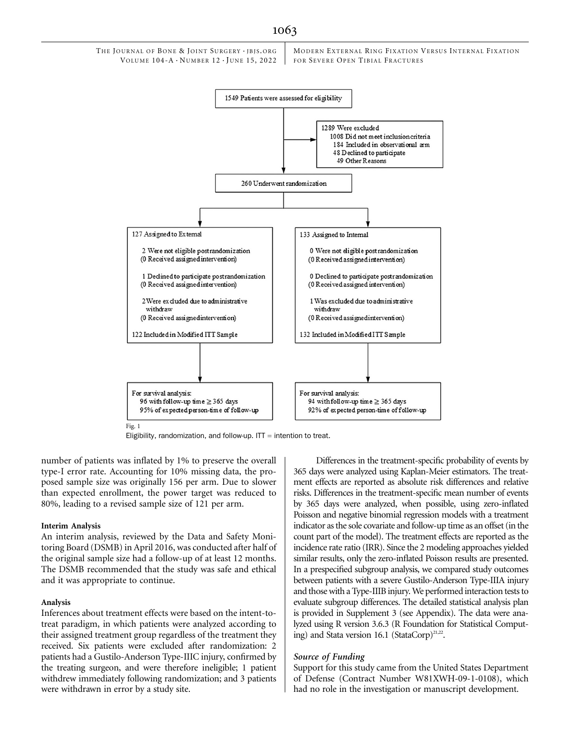

Eligibility, randomization, and follow-up. ITT  $=$  intention to treat.

number of patients was inflated by 1% to preserve the overall type-I error rate. Accounting for 10% missing data, the proposed sample size was originally 156 per arm. Due to slower than expected enrollment, the power target was reduced to 80%, leading to a revised sample size of 121 per arm.

#### Interim Analysis

An interim analysis, reviewed by the Data and Safety Monitoring Board (DSMB) in April 2016, was conducted after half of the original sample size had a follow-up of at least 12 months. The DSMB recommended that the study was safe and ethical and it was appropriate to continue.

#### Analysis

Inferences about treatment effects were based on the intent-totreat paradigm, in which patients were analyzed according to their assigned treatment group regardless of the treatment they received. Six patients were excluded after randomization: 2 patients had a Gustilo-Anderson Type-IIIC injury, confirmed by the treating surgeon, and were therefore ineligible; 1 patient withdrew immediately following randomization; and 3 patients were withdrawn in error by a study site.

Differences in the treatment-specific probability of events by 365 days were analyzed using Kaplan-Meier estimators. The treatment effects are reported as absolute risk differences and relative risks. Differences in the treatment-specific mean number of events by 365 days were analyzed, when possible, using zero-inflated Poisson and negative binomial regression models with a treatment indicator as the sole covariate and follow-up time as an offset (in the count part of the model). The treatment effects are reported as the incidence rate ratio (IRR). Since the 2 modeling approaches yielded similar results, only the zero-inflated Poisson results are presented. In a prespecified subgroup analysis, we compared study outcomes between patients with a severe Gustilo-Anderson Type-IIIA injury and those with a Type-IIIB injury.We performed interaction tests to evaluate subgroup differences. The detailed statistical analysis plan is provided in Supplement 3 (see Appendix). The data were analyzed using R version 3.6.3 (R Foundation for Statistical Computing) and Stata version 16.1 (StataCorp)<sup>21,22</sup>.

#### Source of Funding

Support for this study came from the United States Department of Defense (Contract Number W81XWH-09-1-0108), which had no role in the investigation or manuscript development.

#### 1063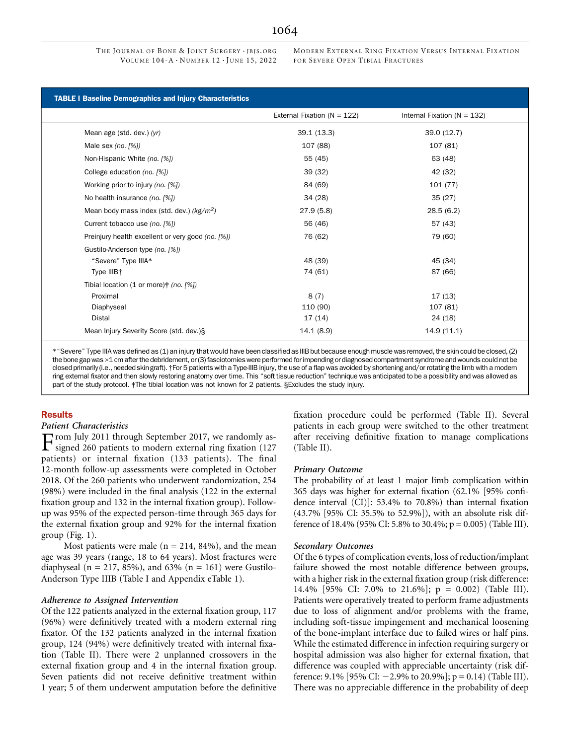# 1064

THE JOURNAL OF BONE & JOINT SURGERY · JBJS.ORG VOLUME  $104-A \cdot N$ UMBER  $12 \cdot$  JUNE 15, 2022 MODERN EXTERNAL RING FIXATION VERSUS INTERNAL FIXATION FOR SEVERE OPEN TIBIAL FRACTURES

|                                                     | External Fixation ( $N = 122$ ) | Internal Fixation ( $N = 132$ ) |
|-----------------------------------------------------|---------------------------------|---------------------------------|
|                                                     |                                 |                                 |
| Mean age (std. dev.) (yr)                           | 39.1(13.3)                      | 39.0 (12.7)                     |
| Male sex (no. $[%]$ )                               | 107 (88)                        | 107 (81)                        |
| Non-Hispanic White (no. [%])                        | 55 (45)                         | 63 (48)                         |
| College education (no. [%])                         | 39(32)                          | 42 (32)                         |
| Working prior to injury (no. [%])                   | 84 (69)                         | 101(77)                         |
| No health insurance (no. [%])                       | 34(28)                          | 35(27)                          |
| Mean body mass index (std. dev.) $(kg/m^2)$         | 27.9(5.8)                       | 28.5(6.2)                       |
| Current tobacco use (no. [%])                       | 56 (46)                         | 57 (43)                         |
| Preinjury health excellent or very good (no. [%])   | 76 (62)                         | 79 (60)                         |
| Gustilo-Anderson type (no. [%])                     |                                 |                                 |
| "Severe" Type IIIA*                                 | 48 (39)                         | 45 (34)                         |
| Type IIIB+                                          | 74 (61)                         | 87 (66)                         |
| Tibial location (1 or more) $\frac{1}{2}$ (no. [%]) |                                 |                                 |
| Proximal                                            | 8(7)                            | 17(13)                          |
| Diaphyseal                                          | 110 (90)                        | 107 (81)                        |
| Distal                                              | 17(14)                          | 24 (18)                         |

\*"Severe" Type IIIA was defined as (1) an injury that would have been classified as IIIB but because enough muscle was removed, the skin could be closed, (2) the bone gap was >1 cm after the debridement, or (3) fasciotomies were performed for impending or diagnosed compartment syndrome and wounds could not be closed primarily (i.e., needed skin graft). †For 5 patients with a Type-IIIB injury, the use of a flap was avoided by shortening and/or rotating the limb with a modern ring external fixator and then slowly restoring anatomy over time. This "soft tissue reduction" technique was anticipated to be a possibility and was allowed as part of the study protocol. #The tibial location was not known for 2 patients. §Excludes the study injury.

# Results

#### Patient Characteristics

From July 2011 through September 2017, we randomly as-signed 260 patients to modern external ring fixation (127 patients) or internal fixation (133 patients). The final 12-month follow-up assessments were completed in October 2018. Of the 260 patients who underwent randomization, 254 (98%) were included in the final analysis (122 in the external fixation group and 132 in the internal fixation group). Followup was 95% of the expected person-time through 365 days for the external fixation group and 92% for the internal fixation group (Fig. 1).

Most patients were male ( $n = 214, 84\%$ ), and the mean age was 39 years (range, 18 to 64 years). Most fractures were diaphyseal ( $n = 217, 85\%$ ), and 63% ( $n = 161$ ) were Gustilo-Anderson Type IIIB (Table I and Appendix eTable 1).

#### Adherence to Assigned Intervention

Of the 122 patients analyzed in the external fixation group, 117 (96%) were definitively treated with a modern external ring fixator. Of the 132 patients analyzed in the internal fixation group, 124 (94%) were definitively treated with internal fixation (Table II). There were 2 unplanned crossovers in the external fixation group and 4 in the internal fixation group. Seven patients did not receive definitive treatment within 1 year; 5 of them underwent amputation before the definitive fixation procedure could be performed (Table II). Several patients in each group were switched to the other treatment after receiving definitive fixation to manage complications (Table II).

#### Primary Outcome

The probability of at least 1 major limb complication within 365 days was higher for external fixation (62.1% [95% confidence interval (CI)]: 53.4% to 70.8%) than internal fixation (43.7% [95% CI: 35.5% to 52.9%]), with an absolute risk difference of 18.4% (95% CI: 5.8% to 30.4%; p = 0.005) (Table III).

#### Secondary Outcomes

Of the 6 types of complication events, loss of reduction/implant failure showed the most notable difference between groups, with a higher risk in the external fixation group (risk difference: 14.4% [95% CI: 7.0% to 21.6%]; p = 0.002) (Table III). Patients were operatively treated to perform frame adjustments due to loss of alignment and/or problems with the frame, including soft-tissue impingement and mechanical loosening of the bone-implant interface due to failed wires or half pins. While the estimated difference in infection requiring surgery or hospital admission was also higher for external fixation, that difference was coupled with appreciable uncertainty (risk difference: 9.1% [95% CI:  $-2.9%$  to 20.9%]; p = 0.14) (Table III). There was no appreciable difference in the probability of deep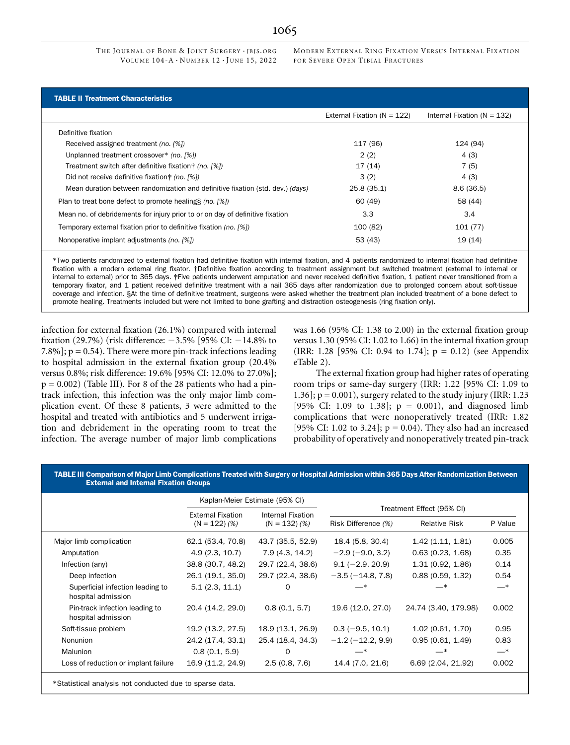THE JOURNAL OF BONE & JOINT SURGERY · JBJS.ORG VOLUME  $104-A \cdot N$  UMBER  $12 \cdot$  JUNE 15, 2022 MODERN EXTERNAL RING FIXATION VERSUS INTERNAL FIXATION FOR SEVERE OPEN TIBIAL FRACTURES

| <b>TABLE II Treatment Characteristics</b>                                      |                                 |                                 |  |  |  |  |
|--------------------------------------------------------------------------------|---------------------------------|---------------------------------|--|--|--|--|
|                                                                                | External Fixation ( $N = 122$ ) | Internal Fixation ( $N = 132$ ) |  |  |  |  |
| Definitive fixation                                                            |                                 |                                 |  |  |  |  |
| Received assigned treatment (no. [%])                                          | 117 (96)                        | 124 (94)                        |  |  |  |  |
| Unplanned treatment crossover* (no. [%])                                       | 2(2)                            | 4(3)                            |  |  |  |  |
| Treatment switch after definitive fixation $\uparrow$ (no. [%])                | 17(14)                          | 7(5)                            |  |  |  |  |
| Did not receive definitive fixation + (no. [%])                                | 3(2)                            | 4(3)                            |  |  |  |  |
| Mean duration between randomization and definitive fixation (std. dev.) (days) | 25.8(35.1)                      | 8.6(36.5)                       |  |  |  |  |
| Plan to treat bone defect to promote healing \$ (no. [%])                      | 60 (49)                         | 58 (44)                         |  |  |  |  |
| Mean no. of debridements for injury prior to or on day of definitive fixation  | 3.3                             | 3.4                             |  |  |  |  |
| Temporary external fixation prior to definitive fixation (no. [%])             | 100 (82)                        | 101 (77)                        |  |  |  |  |
| Nonoperative implant adjustments (no. [%])                                     | 53 (43)                         | 19 (14)                         |  |  |  |  |

\*Two patients randomized to external fixation had definitive fixation with internal fixation, and 4 patients randomized to internal fixation had definitive fixation with a modern external ring fixator. †Definitive fixation according to treatment assignment but switched treatment (external to internal or internal to external) prior to 365 days. ‡Five patients underwent amputation and never received definitive fixation, 1 patient never transitioned from a temporary fixator, and 1 patient received definitive treatment with a nail 365 days after randomization due to prolonged concern about soft-tissue coverage and infection. §At the time of definitive treatment, surgeons were asked whether the treatment plan included treatment of a bone defect to promote healing. Treatments included but were not limited to bone grafting and distraction osteogenesis (ring fixation only).

infection for external fixation (26.1%) compared with internal fixation (29.7%) (risk difference:  $-3.5\%$  [95% CI:  $-14.8\%$  to 7.8%];  $p = 0.54$ ). There were more pin-track infections leading to hospital admission in the external fixation group (20.4% versus 0.8%; risk difference: 19.6% [95% CI: 12.0% to 27.0%];  $p = 0.002$ ) (Table III). For 8 of the 28 patients who had a pintrack infection, this infection was the only major limb complication event. Of these 8 patients, 3 were admitted to the hospital and treated with antibiotics and 5 underwent irrigation and debridement in the operating room to treat the infection. The average number of major limb complications was 1.66 (95% CI: 1.38 to 2.00) in the external fixation group versus 1.30 (95% CI: 1.02 to 1.66) in the internal fixation group (IRR: 1.28 [95% CI: 0.94 to 1.74];  $p = 0.12$ ) (see Appendix eTable 2).

The external fixation group had higher rates of operating room trips or same-day surgery (IRR: 1.22 [95% CI: 1.09 to 1.36];  $p = 0.001$ ), surgery related to the study injury (IRR: 1.23 [95% CI: 1.09 to 1.38];  $p = 0.001$ , and diagnosed limb complications that were nonoperatively treated (IRR: 1.82 [95% CI: 1.02 to 3.24];  $p = 0.04$ ). They also had an increased probability of operatively and nonoperatively treated pin-track

#### TABLE III Comparison of Major Limb Complications Treated with Surgery or Hospital Admission within 365 Days After Randomization Between External and Internal Fixation Groups

|                                                         | Kaplan-Meier Estimate (95% CI) |                                      |                           |                      |         |  |  |
|---------------------------------------------------------|--------------------------------|--------------------------------------|---------------------------|----------------------|---------|--|--|
|                                                         | <b>External Fixation</b>       | Internal Fixation<br>$(N = 132)$ (%) | Treatment Effect (95% CI) |                      |         |  |  |
|                                                         | $(N = 122)$ (%)                |                                      | Risk Difference (%)       | <b>Relative Risk</b> | P Value |  |  |
| Major limb complication                                 | 62.1 (53.4, 70.8)              | 43.7 (35.5, 52.9)                    | 18.4 (5.8, 30.4)          | 1.42(1.11, 1.81)     | 0.005   |  |  |
| Amputation                                              | 4.9(2.3, 10.7)                 | 7.9 (4.3, 14.2)                      | $-2.9(-9.0, 3.2)$         | 0.63(0.23, 1.68)     | 0.35    |  |  |
| Infection (any)                                         | 38.8 (30.7, 48.2)              | 29.7 (22.4, 38.6)                    | $9.1 (-2.9, 20.9)$        | 1.31(0.92, 1.86)     | 0.14    |  |  |
| Deep infection                                          | 26.1 (19.1, 35.0)              | 29.7 (22.4, 38.6)                    | $-3.5(-14.8, 7.8)$        | 0.88(0.59, 1.32)     | 0.54    |  |  |
| Superficial infection leading to<br>hospital admission  | 5.1(2.3, 11.1)                 | 0                                    |                           | — *                  | $-*$    |  |  |
| Pin-track infection leading to<br>hospital admission    | 20.4 (14.2, 29.0)              | 0.8(0.1, 5.7)                        | 19.6 (12.0, 27.0)         | 24.74 (3.40, 179.98) | 0.002   |  |  |
| Soft-tissue problem                                     | 19.2 (13.2, 27.5)              | 18.9 (13.1, 26.9)                    | $0.3(-9.5, 10.1)$         | 1.02(0.61, 1.70)     | 0.95    |  |  |
| <b>Nonunion</b>                                         | 24.2 (17.4, 33.1)              | 25.4 (18.4, 34.3)                    | $-1.2(-12.2, 9.9)$        | 0.95(0.61, 1.49)     | 0.83    |  |  |
| Malunion                                                | 0.8(0.1, 5.9)                  | $\Omega$                             | _*                        | _*                   | $-*$    |  |  |
| Loss of reduction or implant failure                    | 16.9 (11.2, 24.9)              | 2.5(0.8, 7.6)                        | 14.4 (7.0, 21.6)          | 6.69 (2.04, 21.92)   | 0.002   |  |  |
| *Statistical analysis not conducted due to sparse data. |                                |                                      |                           |                      |         |  |  |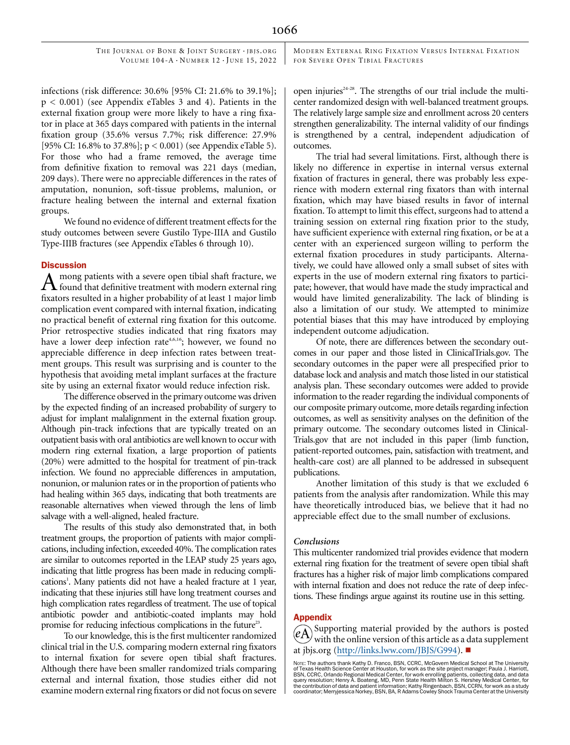THE JOURNAL OF BONE & JOINT SURGERY · JBJS.ORG VOLUME  $104-A \cdot N$  UMBER  $12 \cdot$  JUNE 15, 2022 MODERN EXTERNAL RING FIXATION VERSUS INTERNAL FIXATION FOR SEVERE OPEN TIBIAL FRACTURES

infections (risk difference: 30.6% [95% CI: 21.6% to 39.1%]; p < 0.001) (see Appendix eTables 3 and 4). Patients in the external fixation group were more likely to have a ring fixator in place at 365 days compared with patients in the internal fixation group (35.6% versus 7.7%; risk difference: 27.9% [95% CI: 16.8% to 37.8%]; p < 0.001) (see Appendix eTable 5). For those who had a frame removed, the average time from definitive fixation to removal was 221 days (median, 209 days). There were no appreciable differences in the rates of amputation, nonunion, soft-tissue problems, malunion, or fracture healing between the internal and external fixation groups.

We found no evidence of different treatment effects for the study outcomes between severe Gustilo Type-IIIA and Gustilo Type-IIIB fractures (see Appendix eTables 6 through 10).

# **Discussion**

mong patients with a severe open tibial shaft fracture, we found that definitive treatment with modern external ring fixators resulted in a higher probability of at least 1 major limb complication event compared with internal fixation, indicating no practical benefit of external ring fixation for this outcome. Prior retrospective studies indicated that ring fixators may have a lower deep infection rate<sup>4,6,16</sup>; however, we found no appreciable difference in deep infection rates between treatment groups. This result was surprising and is counter to the hypothesis that avoiding metal implant surfaces at the fracture site by using an external fixator would reduce infection risk.

The difference observed in the primary outcome was driven by the expected finding of an increased probability of surgery to adjust for implant malalignment in the external fixation group. Although pin-track infections that are typically treated on an outpatient basis with oral antibiotics are well known to occur with modern ring external fixation, a large proportion of patients (20%) were admitted to the hospital for treatment of pin-track infection. We found no appreciable differences in amputation, nonunion, or malunion rates or in the proportion of patients who had healing within 365 days, indicating that both treatments are reasonable alternatives when viewed through the lens of limb salvage with a well-aligned, healed fracture.

The results of this study also demonstrated that, in both treatment groups, the proportion of patients with major complications, including infection, exceeded 40%. The complication rates are similar to outcomes reported in the LEAP study 25 years ago, indicating that little progress has been made in reducing complications<sup>1</sup>. Many patients did not have a healed fracture at 1 year, indicating that these injuries still have long treatment courses and high complication rates regardless of treatment. The use of topical antibiotic powder and antibiotic-coated implants may hold promise for reducing infectious complications in the future<sup>23</sup>.

To our knowledge, this is the first multicenter randomized clinical trial in the U.S. comparing modern external ring fixators to internal fixation for severe open tibial shaft fractures. Although there have been smaller randomized trials comparing external and internal fixation, those studies either did not examine modern external ring fixators or did not focus on severe

open injuries<sup> $24-28$ </sup>. The strengths of our trial include the multicenter randomized design with well-balanced treatment groups. The relatively large sample size and enrollment across 20 centers strengthen generalizability. The internal validity of our findings is strengthened by a central, independent adjudication of outcomes.

The trial had several limitations. First, although there is likely no difference in expertise in internal versus external fixation of fractures in general, there was probably less experience with modern external ring fixators than with internal fixation, which may have biased results in favor of internal fixation. To attempt to limit this effect, surgeons had to attend a training session on external ring fixation prior to the study, have sufficient experience with external ring fixation, or be at a center with an experienced surgeon willing to perform the external fixation procedures in study participants. Alternatively, we could have allowed only a small subset of sites with experts in the use of modern external ring fixators to participate; however, that would have made the study impractical and would have limited generalizability. The lack of blinding is also a limitation of our study. We attempted to minimize potential biases that this may have introduced by employing independent outcome adjudication.

Of note, there are differences between the secondary outcomes in our paper and those listed in ClinicalTrials.gov. The secondary outcomes in the paper were all prespecified prior to database lock and analysis and match those listed in our statistical analysis plan. These secondary outcomes were added to provide information to the reader regarding the individual components of our composite primary outcome, more details regarding infection outcomes, as well as sensitivity analyses on the definition of the primary outcome. The secondary outcomes listed in Clinical-Trials.gov that are not included in this paper (limb function, patient-reported outcomes, pain, satisfaction with treatment, and health-care cost) are all planned to be addressed in subsequent publications.

Another limitation of this study is that we excluded 6 patients from the analysis after randomization. While this may have theoretically introduced bias, we believe that it had no appreciable effect due to the small number of exclusions.

#### Conclusions

This multicenter randomized trial provides evidence that modern external ring fixation for the treatment of severe open tibial shaft fractures has a higher risk of major limb complications compared with internal fixation and does not reduce the rate of deep infections. These findings argue against its routine use in this setting.

#### **Appendix**

Supporting material provided by the authors is posted with the online version of this article as a data supplement at [jbjs.org](http://jbjs.org) (<http://links.lww.com/JBJS/G994>).

NOTE: The authors thank Kathy D. Franco, BSN, CCRC, McGovern Medical School at The University of Texas Health Science Center at Houston, for work as the site project manager; Paula J. Harriott,<br>BSN, CCRC, Orlando Regional Medical Center, for work enrolling patients, collecting data, and data<br>query resolution; Henry coordinator; Merryjessica Norkey, BSN, BA, R Adams Cowley Shock Trauma Center at the University